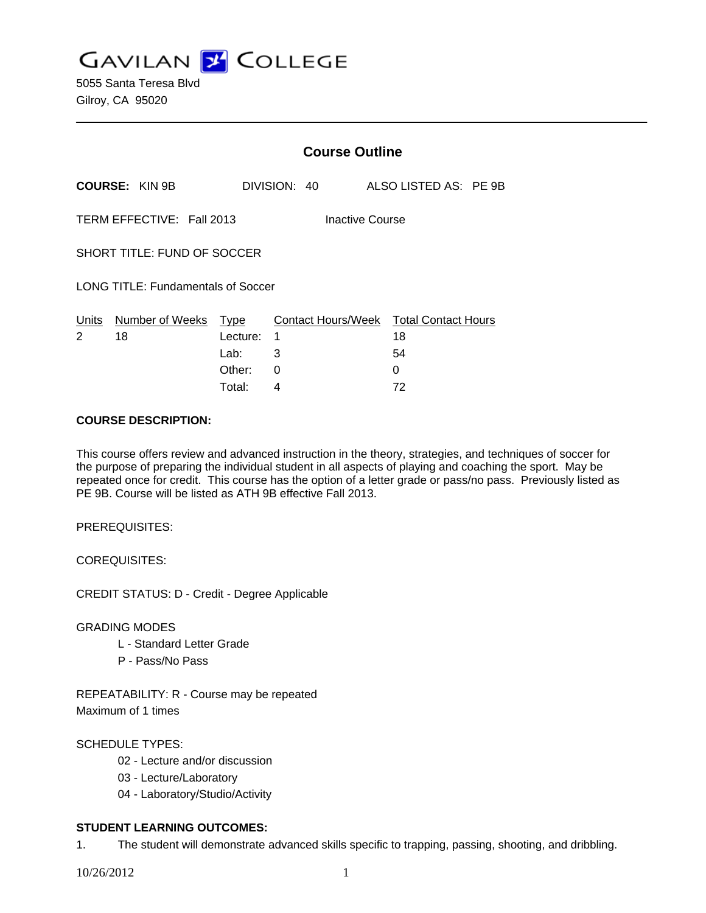**GAVILAN J COLLEGE** 

|                                              |                            | <b>Course Outline</b> |              |  |                                                    |  |
|----------------------------------------------|----------------------------|-----------------------|--------------|--|----------------------------------------------------|--|
|                                              | <b>COURSE: KIN 9B</b>      |                       | DIVISION: 40 |  | ALSO LISTED AS: PE 9B                              |  |
| TERM EFFECTIVE: Fall 2013<br>Inactive Course |                            |                       |              |  |                                                    |  |
| SHORT TITLE: FUND OF SOCCER                  |                            |                       |              |  |                                                    |  |
| <b>LONG TITLE: Fundamentals of Soccer</b>    |                            |                       |              |  |                                                    |  |
| Units<br>2                                   | Number of Weeks Type<br>18 | Lecture:<br>Lab:      | -1<br>3      |  | Contact Hours/Week Total Contact Hours<br>18<br>54 |  |
|                                              |                            | Other:                | 0            |  | 0                                                  |  |

Total: 4 72

### **COURSE DESCRIPTION:**

This course offers review and advanced instruction in the theory, strategies, and techniques of soccer for the purpose of preparing the individual student in all aspects of playing and coaching the sport. May be repeated once for credit. This course has the option of a letter grade or pass/no pass. Previously listed as PE 9B. Course will be listed as ATH 9B effective Fall 2013.

PREREQUISITES:

COREQUISITES:

CREDIT STATUS: D - Credit - Degree Applicable

GRADING MODES

- L Standard Letter Grade
- P Pass/No Pass

REPEATABILITY: R - Course may be repeated Maximum of 1 times

## SCHEDULE TYPES:

- 02 Lecture and/or discussion
- 03 Lecture/Laboratory
- 04 Laboratory/Studio/Activity

## **STUDENT LEARNING OUTCOMES:**

1. The student will demonstrate advanced skills specific to trapping, passing, shooting, and dribbling.

10/26/2012 1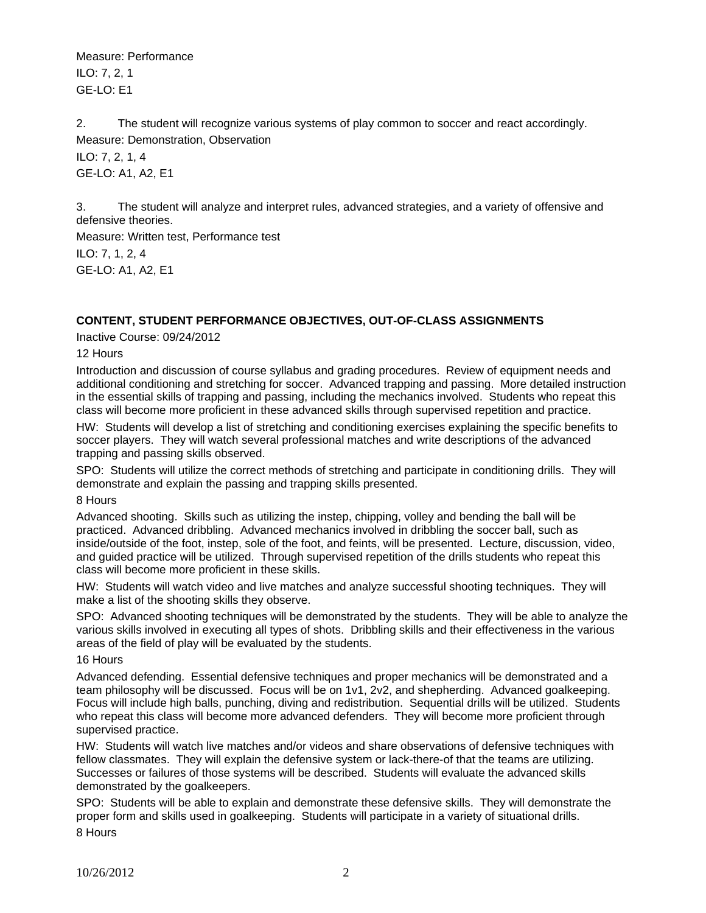Measure: Performance ILO: 7, 2, 1 GE-LO: E1

2. The student will recognize various systems of play common to soccer and react accordingly. Measure: Demonstration, Observation

ILO: 7, 2, 1, 4 GE-LO: A1, A2, E1

3. The student will analyze and interpret rules, advanced strategies, and a variety of offensive and defensive theories.

Measure: Written test, Performance test ILO: 7, 1, 2, 4 GE-LO: A1, A2, E1

# **CONTENT, STUDENT PERFORMANCE OBJECTIVES, OUT-OF-CLASS ASSIGNMENTS**

Inactive Course: 09/24/2012

12 Hours

Introduction and discussion of course syllabus and grading procedures. Review of equipment needs and additional conditioning and stretching for soccer. Advanced trapping and passing. More detailed instruction in the essential skills of trapping and passing, including the mechanics involved. Students who repeat this class will become more proficient in these advanced skills through supervised repetition and practice.

HW: Students will develop a list of stretching and conditioning exercises explaining the specific benefits to soccer players. They will watch several professional matches and write descriptions of the advanced trapping and passing skills observed.

SPO: Students will utilize the correct methods of stretching and participate in conditioning drills. They will demonstrate and explain the passing and trapping skills presented.

8 Hours

Advanced shooting. Skills such as utilizing the instep, chipping, volley and bending the ball will be practiced. Advanced dribbling. Advanced mechanics involved in dribbling the soccer ball, such as inside/outside of the foot, instep, sole of the foot, and feints, will be presented. Lecture, discussion, video, and guided practice will be utilized. Through supervised repetition of the drills students who repeat this class will become more proficient in these skills.

HW: Students will watch video and live matches and analyze successful shooting techniques. They will make a list of the shooting skills they observe.

SPO: Advanced shooting techniques will be demonstrated by the students. They will be able to analyze the various skills involved in executing all types of shots. Dribbling skills and their effectiveness in the various areas of the field of play will be evaluated by the students.

16 Hours

Advanced defending. Essential defensive techniques and proper mechanics will be demonstrated and a team philosophy will be discussed. Focus will be on 1v1, 2v2, and shepherding. Advanced goalkeeping. Focus will include high balls, punching, diving and redistribution. Sequential drills will be utilized. Students who repeat this class will become more advanced defenders. They will become more proficient through supervised practice.

HW: Students will watch live matches and/or videos and share observations of defensive techniques with fellow classmates. They will explain the defensive system or lack-there-of that the teams are utilizing. Successes or failures of those systems will be described. Students will evaluate the advanced skills demonstrated by the goalkeepers.

SPO: Students will be able to explain and demonstrate these defensive skills. They will demonstrate the proper form and skills used in goalkeeping. Students will participate in a variety of situational drills. 8 Hours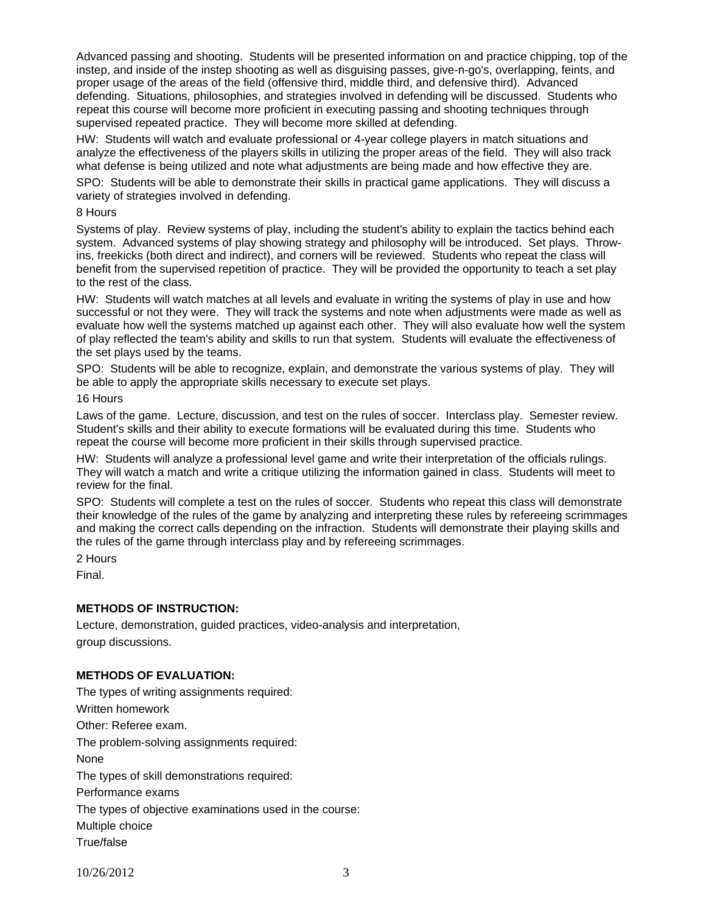Advanced passing and shooting. Students will be presented information on and practice chipping, top of the instep, and inside of the instep shooting as well as disguising passes, give-n-go's, overlapping, feints, and proper usage of the areas of the field (offensive third, middle third, and defensive third). Advanced defending. Situations, philosophies, and strategies involved in defending will be discussed. Students who repeat this course will become more proficient in executing passing and shooting techniques through supervised repeated practice. They will become more skilled at defending.

HW: Students will watch and evaluate professional or 4-year college players in match situations and analyze the effectiveness of the players skills in utilizing the proper areas of the field. They will also track what defense is being utilized and note what adjustments are being made and how effective they are.

SPO: Students will be able to demonstrate their skills in practical game applications. They will discuss a variety of strategies involved in defending.

#### 8 Hours

Systems of play. Review systems of play, including the student's ability to explain the tactics behind each system. Advanced systems of play showing strategy and philosophy will be introduced. Set plays. Throwins, freekicks (both direct and indirect), and corners will be reviewed. Students who repeat the class will benefit from the supervised repetition of practice. They will be provided the opportunity to teach a set play to the rest of the class.

HW: Students will watch matches at all levels and evaluate in writing the systems of play in use and how successful or not they were. They will track the systems and note when adjustments were made as well as evaluate how well the systems matched up against each other. They will also evaluate how well the system of play reflected the team's ability and skills to run that system. Students will evaluate the effectiveness of the set plays used by the teams.

SPO: Students will be able to recognize, explain, and demonstrate the various systems of play. They will be able to apply the appropriate skills necessary to execute set plays.

### 16 Hours

Laws of the game. Lecture, discussion, and test on the rules of soccer. Interclass play. Semester review. Student's skills and their ability to execute formations will be evaluated during this time. Students who repeat the course will become more proficient in their skills through supervised practice.

HW: Students will analyze a professional level game and write their interpretation of the officials rulings. They will watch a match and write a critique utilizing the information gained in class. Students will meet to review for the final.

SPO: Students will complete a test on the rules of soccer. Students who repeat this class will demonstrate their knowledge of the rules of the game by analyzing and interpreting these rules by refereeing scrimmages and making the correct calls depending on the infraction. Students will demonstrate their playing skills and the rules of the game through interclass play and by refereeing scrimmages.

2 Hours

Final.

## **METHODS OF INSTRUCTION:**

Lecture, demonstration, guided practices, video-analysis and interpretation, group discussions.

## **METHODS OF EVALUATION:**

The types of writing assignments required: Written homework Other: Referee exam. The problem-solving assignments required: None The types of skill demonstrations required: Performance exams The types of objective examinations used in the course: Multiple choice True/false

10/26/2012 3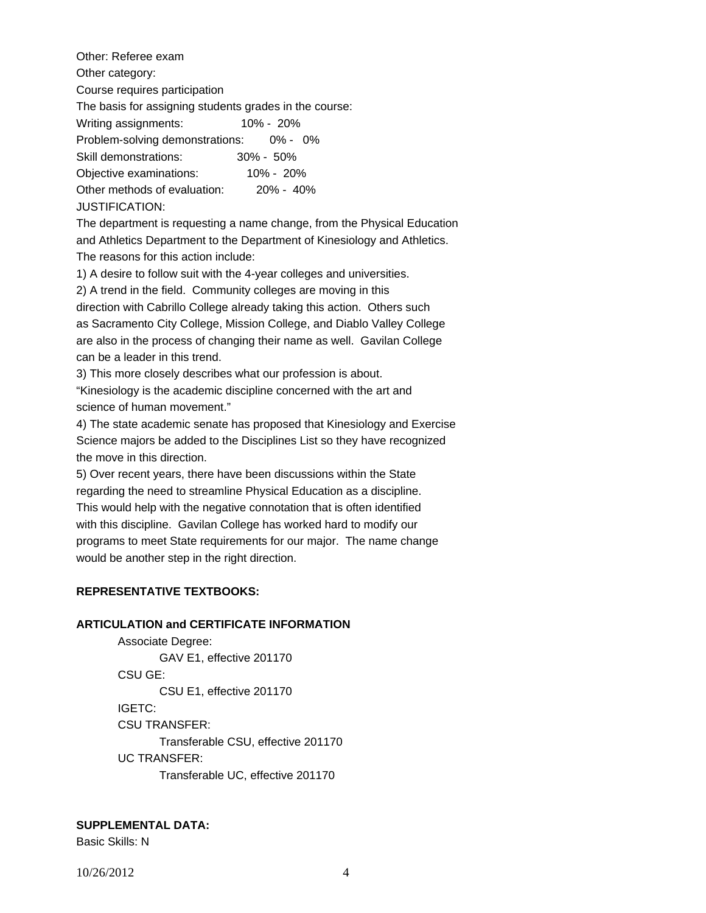Other: Referee exam Other category: Course requires participation The basis for assigning students grades in the course: Writing assignments: 10% - 20% Problem-solving demonstrations: 0% - 0% Skill demonstrations: 30% - 50% Objective examinations: 10% - 20% Other methods of evaluation: 20% - 40% JUSTIFICATION:

The department is requesting a name change, from the Physical Education and Athletics Department to the Department of Kinesiology and Athletics. The reasons for this action include:

1) A desire to follow suit with the 4-year colleges and universities.

2) A trend in the field. Community colleges are moving in this direction with Cabrillo College already taking this action. Others such as Sacramento City College, Mission College, and Diablo Valley College are also in the process of changing their name as well. Gavilan College can be a leader in this trend.

3) This more closely describes what our profession is about.

"Kinesiology is the academic discipline concerned with the art and science of human movement."

4) The state academic senate has proposed that Kinesiology and Exercise Science majors be added to the Disciplines List so they have recognized the move in this direction.

5) Over recent years, there have been discussions within the State regarding the need to streamline Physical Education as a discipline. This would help with the negative connotation that is often identified with this discipline. Gavilan College has worked hard to modify our programs to meet State requirements for our major. The name change would be another step in the right direction.

## **REPRESENTATIVE TEXTBOOKS:**

#### **ARTICULATION and CERTIFICATE INFORMATION**

 Associate Degree: GAV E1, effective 201170 CSU GE: CSU E1, effective 201170 IGETC: CSU TRANSFER: Transferable CSU, effective 201170 UC TRANSFER: Transferable UC, effective 201170

**SUPPLEMENTAL DATA:** 

Basic Skills: N

10/26/2012 4